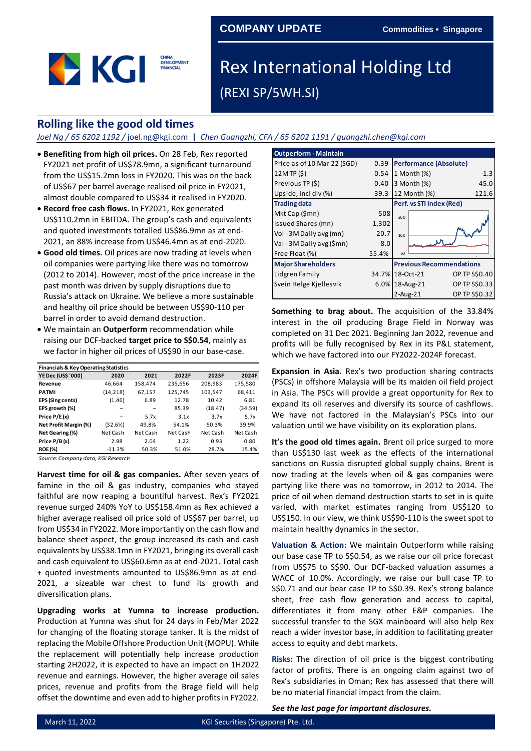### **COMPANY UPDATE Commodities ▪ Singapore**



# Rex International Holding Ltd (REXI SP/5WH.SI)

### **Rolling like the good old times**

*Joel Ng / 65 6202 1192 /* joel.ng@kgi.com **|** *Chen Guangzhi, CFA / 65 6202 1191 / guangzhi.chen@kgi.com*

- **Benefiting from high oil prices.** On 28 Feb, Rex reported FY2021 net profit of US\$78.9mn, a significant turnaround from the US\$15.2mn loss in FY2020. This was on the back of US\$67 per barrel average realised oil price in FY2021, almost double compared to US\$34 it realised in FY2020.
- **Record free cash flows.** In FY2021, Rex generated US\$110.2mn in EBITDA. The group's cash and equivalents and quoted investments totalled US\$86.9mn as at end-2021, an 88% increase from US\$46.4mn as at end-2020.
- **Good old times.** Oil prices are now trading at levels when oil companies were partying like there was no tomorrow (2012 to 2014). However, most of the price increase in the past month was driven by supply disruptions due to Russia's attack on Ukraine. We believe a more sustainable and healthy oil price should be between US\$90-110 per barrel in order to avoid demand destruction.
- We maintain an **Outperform** recommendation while raising our DCF-backed **target price to S\$0.54**, mainly as we factor in higher oil prices of US\$90 in our base-case.

| <b>Financials &amp; Key Operating Statistics</b> |           |          |          |          |          |  |  |  |
|--------------------------------------------------|-----------|----------|----------|----------|----------|--|--|--|
| <b>YE Dec (US\$ '000)</b>                        | 2020      | 2021     | 2022F    | 2023F    | 2024F    |  |  |  |
| Revenue                                          | 46,664    | 158,474  | 235,656  | 208,983  | 175,580  |  |  |  |
| <b>PATMI</b>                                     | (14, 218) | 67,157   | 125,745  | 103,547  | 68,411   |  |  |  |
| EPS (Sing cents)                                 | (1.46)    | 6.89     | 12.78    | 10.42    | 6.81     |  |  |  |
| EPS growth (%)                                   | -         |          | 85.39    | (18.47)  | (34.59)  |  |  |  |
| Price P/E(x)                                     |           | 5.7x     | 3.1x     | 3.7x     | 5.7x     |  |  |  |
| Net Profit Margin (%)                            | (32.6%)   | 49.8%    | 54.1%    | 50.3%    | 39.9%    |  |  |  |
| Net Gearing (%)                                  | Net Cash  | Net Cash | Net Cash | Net Cash | Net Cash |  |  |  |
| Price P/B(x)                                     | 2.98      | 2.04     | 1.22     | 0.93     | 0.80     |  |  |  |
| <b>ROE (%)</b>                                   | $-11.3%$  | 50.3%    | 51.0%    | 28.7%    | 15.4%    |  |  |  |

*Source: Company data, KGI Research*

**Harvest time for oil & gas companies.** After seven years of famine in the oil & gas industry, companies who stayed faithful are now reaping a bountiful harvest. Rex's FY2021 revenue surged 240% YoY to US\$158.4mn as Rex achieved a higher average realised oil price sold of US\$67 per barrel, up from US\$34 in FY2022. More importantly on the cash flow and balance sheet aspect, the group increased its cash and cash equivalents by US\$38.1mn in FY2021, bringing its overall cash and cash equivalent to US\$60.6mn as at end-2021. Total cash + quoted investments amounted to US\$86.9mn as at end-2021, a sizeable war chest to fund its growth and diversification plans.

**Upgrading works at Yumna to increase production.**  Production at Yumna was shut for 24 days in Feb/Mar 2022 for changing of the floating storage tanker. It is the midst of replacing the Mobile Offshore Production Unit (MOPU). While the replacement will potentially help increase production starting 2H2022, it is expected to have an impact on 1H2022 revenue and earnings. However, the higher average oil sales prices, revenue and profits from the Brage field will help offset the downtime and even add to higher profits in FY2022.

| <b>Outperform - Maintain</b> |       |                                 |
|------------------------------|-------|---------------------------------|
| Price as of 10 Mar 22 (SGD)  | 0.39  | <b>Performance (Absolute)</b>   |
| 12MTP(S)                     | 0.54  | 1 Month (%)<br>$-1.3$           |
| Previous TP (\$)             | 0.40  | 3 Month (%)<br>45.0             |
| Upside, incl div (%)         | 39.3  | 12 Month (%)<br>121.6           |
| <b>Trading data</b>          |       | Perf. vs STI Index (Red)        |
| Mkt Cap (\$mn)               | 508   | 260                             |
| Issued Shares (mn)           | 1,302 |                                 |
| Vol - 3M Daily avg (mn)      | 20.7  | 160                             |
| Val - 3M Daily avg (\$mn)    | 8.0   |                                 |
| Free Float (%)               | 55.4% | 60                              |
| <b>Major Shareholders</b>    |       | <b>Previous Recommendations</b> |
| Lidgren Family               | 34.7% | 18-Oct-21<br>OP TP S\$0.40      |
| Svein Helge Kjellesvik       | 6.0%  | OP TP S\$0.33<br>18-Aug-21      |
|                              |       | OP TP S\$0.32<br>$2$ -Aug- $21$ |

**Something to brag about.** The acquisition of the 33.84% interest in the oil producing Brage Field in Norway was completed on 31 Dec 2021. Beginning Jan 2022, revenue and profits will be fully recognised by Rex in its P&L statement, which we have factored into our FY2022-2024F forecast.

**Expansion in Asia.** Rex's two production sharing contracts (PSCs) in offshore Malaysia will be its maiden oil field project in Asia. The PSCs will provide a great opportunity for Rex to expand its oil reserves and diversify its source of cashflows. We have not factored in the Malaysian's PSCs into our valuation until we have visibility on its exploration plans.

**It's the good old times again.** Brent oil price surged to more than US\$130 last week as the effects of the international sanctions on Russia disrupted global supply chains. Brent is now trading at the levels when oil & gas companies were partying like there was no tomorrow, in 2012 to 2014. The price of oil when demand destruction starts to set in is quite varied, with market estimates ranging from US\$120 to US\$150. In our view, we think US\$90-110 is the sweet spot to maintain healthy dynamics in the sector.

**Valuation & Action:** We maintain Outperform while raising our base case TP to S\$0.54, as we raise our oil price forecast from US\$75 to S\$90. Our DCF-backed valuation assumes a WACC of 10.0%. Accordingly, we raise our bull case TP to S\$0.71 and our bear case TP to S\$0.39. Rex's strong balance sheet, free cash flow generation and access to capital, differentiates it from many other E&P companies. The successful transfer to the SGX mainboard will also help Rex reach a wider investor base, in addition to facilitating greater access to equity and debt markets.

**Risks:** The direction of oil price is the biggest contributing factor of profits. There is an ongoing claim against two of Rex's subsidiaries in Oman; Rex has assessed that there will be no material financial impact from the claim.

*See the last page for important disclosures.*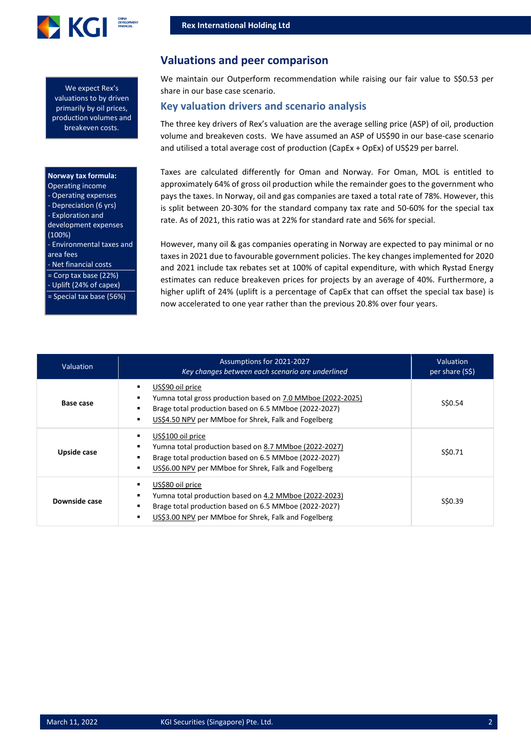

We expect Rex's valuations to by driven primarily by oil prices, production volumes and breakeven costs.

### **Norway tax formula:**

| Operating income          |
|---------------------------|
| - Operating expenses      |
| - Depreciation (6 yrs)    |
| - Exploration and         |
| development expenses      |
| (100%)                    |
| - Environmental taxes and |
| area fees                 |
| - Net financial costs     |
| $=$ Corp tax base (22%)   |
|                           |

Uplift (24% of capex) = Special tax base (56%)

### **Valuations and peer comparison**

We maintain our Outperform recommendation while raising our fair value to S\$0.53 per share in our base case scenario.

### **Key valuation drivers and scenario analysis**

The three key drivers of Rex's valuation are the average selling price (ASP) of oil, production volume and breakeven costs. We have assumed an ASP of US\$90 in our base-case scenario and utilised a total average cost of production (CapEx + OpEx) of US\$29 per barrel.

Taxes are calculated differently for Oman and Norway. For Oman, MOL is entitled to approximately 64% of gross oil production while the remainder goes to the government who pays the taxes. In Norway, oil and gas companies are taxed a total rate of 78%. However, this is split between 20-30% for the standard company tax rate and 50-60% for the special tax rate. As of 2021, this ratio was at 22% for standard rate and 56% for special.

However, many oil & gas companies operating in Norway are expected to pay minimal or no taxes in 2021 due to favourable government policies. The key changes implemented for 2020 and 2021 include tax rebates set at 100% of capital expenditure, with which Rystad Energy estimates can reduce breakeven prices for projects by an average of 40%. Furthermore, a higher uplift of 24% (uplift is a percentage of CapEx that can offset the special tax base) is now accelerated to one year rather than the previous 20.8% over four years.

| <b>Valuation</b> | Assumptions for 2021-2027<br>Key changes between each scenario are underlined                                                                                                                    | Valuation<br>per share (S\$) |
|------------------|--------------------------------------------------------------------------------------------------------------------------------------------------------------------------------------------------|------------------------------|
| Base case        | US\$90 oil price<br>Yumna total gross production based on 7.0 MMboe (2022-2025)<br>Brage total production based on 6.5 MMboe (2022-2027)<br>US\$4.50 NPV per MMboe for Shrek, Falk and Fogelberg | S\$0.54                      |
| Upside case      | US\$100 oil price<br>Yumna total production based on 8.7 MMboe (2022-2027)<br>Brage total production based on 6.5 MMboe (2022-2027)<br>US\$6.00 NPV per MMboe for Shrek, Falk and Fogelberg      | S\$0.71                      |
| Downside case    | US\$80 oil price<br>Yumna total production based on 4.2 MMboe (2022-2023)<br>Brage total production based on 6.5 MMboe (2022-2027)<br>US\$3.00 NPV per MMboe for Shrek, Falk and Fogelberg       | S\$0.39                      |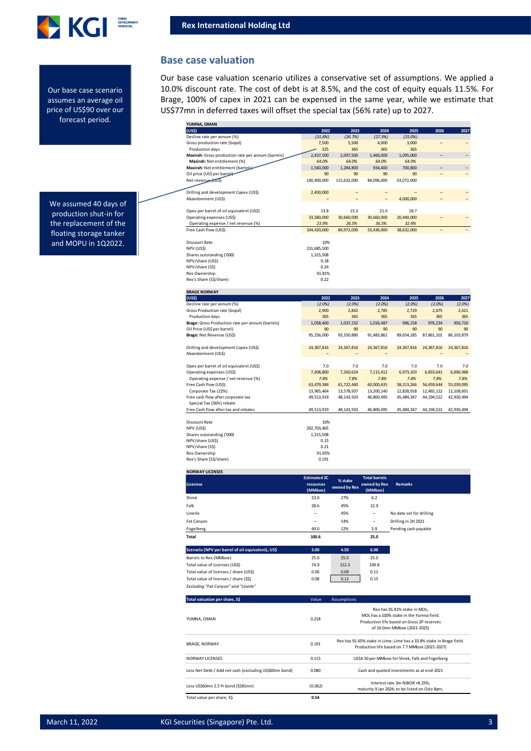

**Base case valuation**

#### Our base case scenario assumes an average oil price of US\$90 over our forecast period.

Our base case valuation scenario utilizes a conservative set of assumptions. We applied a 10.0% discount rate. The cost of debt is at 8.5%, and the cost of equity equals 11.5%. For Brage, 100% of capex in 2021 can be expensed in the same year, while we estimate that US\$77mn in deferred taxes will offset the special tax (56% rate) up to 2027.

| 2022                | 2023           |                          | 2025       | 2026       | 2027       |
|---------------------|----------------|--------------------------|------------|------------|------------|
| (31.8%)             | (26.7%)        | (27.3%)                  | (25.0%)    |            |            |
| 7,500               | 5,500          | 4,000                    | 3,000      |            |            |
| 325                 | 365            | 365                      | 365        |            |            |
| 2,437,500           | 2,007,500      | 1,460,000                | 1,095,000  |            |            |
| 64.0%               | 64.0%          | 64.0%                    | 64.0%      |            |            |
| 1,560,000           | 1,284,800      | 934,400                  | 700,800    |            |            |
| 90                  | 90             | 90                       | 90         |            |            |
| 140,400,000         | 115,632,000    | 84,096,000               | 63,072,000 |            |            |
|                     |                |                          |            |            |            |
| 2,400,000           | -              | $\overline{a}$           |            |            |            |
|                     |                | $\overline{\phantom{0}}$ | 4,000,000  |            |            |
|                     |                |                          |            |            |            |
| 13.8                | 15.3           | 21.0                     | 18.7       |            |            |
| 33,580,000          | 30,660,000     | 30,660,000               | 20,440,000 |            |            |
| 23.9%               | 26.5%          | 36.5%                    | 32.4%      |            |            |
| 104,420,000         | 84,972,000     | 53,436,000               | 38,632,000 |            |            |
|                     |                |                          |            |            |            |
| 10%                 |                |                          |            |            |            |
| 231,685,500         |                |                          |            |            |            |
| 1,315,508           |                |                          |            |            |            |
| 0.18                |                |                          |            |            |            |
| 0.24                |                |                          |            |            |            |
|                     |                |                          |            |            |            |
|                     |                |                          |            |            |            |
|                     |                |                          |            |            |            |
|                     |                |                          |            |            |            |
|                     |                | 2024                     |            | 2026       | 2027       |
| 2022                | 2023           |                          | 2025       |            |            |
| (2.0%)              | (2.0%)         | (2.0%                    | (2.0%      | (2.0%)     | $(2.0\%)$  |
| 2,900               | 2,842          | 2,785                    | 2,729      | 2,675      | 2,621      |
| 365                 | 365            | 365                      | 365        | 365        | 365        |
| 1,058,400           | 1,037,232      | 1,016,487                | 996,158    | 976,234    | 956,710    |
| 90                  | 90             | 90                       | 90         | 90         | 90         |
| 95,256,000          | 93,350,880     | 91,483,862               | 89,654,185 | 87,861,101 | 86,103,879 |
|                     |                |                          |            |            |            |
| 24,367,816          | 24,367,816     | 24,367,816               | 24,367,816 | 24,367,816 | 24,367,816 |
|                     |                |                          |            |            |            |
|                     |                |                          |            |            |            |
| 7.0                 | 7.0            | 7.0                      | 7.0        | 7.0        | 7.0        |
| 7,408,800           | 7,260,624      | 7,115,412                | 6,973,103  | 6,833,641  | 6,696,968  |
| 7.8%                | 7.8%           | 7.8%                     | 7.8%       | 7.8%       | 7.8%       |
| 63,479,384          | 61,722,440     | 60,000,635               | 58,313,266 | 56,659,644 | 55,039,095 |
| 13,965,464          | 13,578,937     | 13,200,140               | 12,828,918 | 12,465,122 | 12,108,601 |
| 49,513,919          | 48,143,503     | 46,800,495               | 45,484,347 | 44,194,522 | 42,930,494 |
|                     |                |                          |            |            |            |
| 49,513,919          | 48, 143, 503   | 46,800,495               | 45,484,347 | 44,194,522 | 42,930,494 |
|                     |                |                          |            |            |            |
| 10%                 |                |                          |            |            |            |
| 202,703,465         |                |                          |            |            |            |
| 1,315,508           |                |                          |            |            |            |
| 0.15                |                |                          |            |            |            |
|                     |                |                          |            |            |            |
| 0.21                |                |                          |            |            |            |
| 91.65%              |                |                          |            |            |            |
| 0.191               |                |                          |            |            |            |
|                     |                |                          |            |            |            |
| <b>Estimated 2C</b> | % stake        | <b>Total barrels</b>     |            |            |            |
|                     | 91.81%<br>0.22 |                          | 2024       |            |            |

| Licesnse                                          | <b>Estimated 2C</b><br>resources<br>(MMboe) | % stake<br>owned by Rex | <b>Total barrels</b><br>owned by Rex<br>(MMboe) | <b>Remarks</b>           |
|---------------------------------------------------|---------------------------------------------|-------------------------|-------------------------------------------------|--------------------------|
| Shrek                                             | 23.0                                        | 27%                     | 6.2                                             |                          |
| Falk                                              | 28.6                                        | 45%                     | 12.9                                            |                          |
| Linerle                                           | -                                           | 45%                     | -                                               | No date set for drilling |
| Fat Canyon                                        | -                                           | 14%                     | -                                               | Drilling in 2H 2021      |
| Fogelberg                                         | 49.0                                        | 12%                     | 5.9                                             | Pending cash payable     |
| Total                                             | 100.6                                       |                         | 25.0                                            |                          |
| Scenario (NPV per barrel of oil equivalent), US\$ | 3.00                                        | 4.50                    | 6.00                                            |                          |
| Barrels to Rex (MMboe)                            | 25.0                                        | 25.0                    | 25.0                                            |                          |
| Total value of Licenses (US\$)                    | 74.9                                        | 112.3                   | 149.8                                           |                          |
| Total value of licenses / share (US\$)            | 0.06                                        | 0.09                    | 0.11                                            |                          |

| Total value of licenses / share (\$\$)<br>Excluding "Fat Canyon" and "Linerle" | 0.08  | 0.12<br>0.15                                                                                                                                          |
|--------------------------------------------------------------------------------|-------|-------------------------------------------------------------------------------------------------------------------------------------------------------|
| Total valuation per share, S\$                                                 | Value | <b>Assumptions</b>                                                                                                                                    |
| YUMNA, OMAN                                                                    | 0.218 | Rex has 91.81% stake in MOL:<br>MOL has a 100% stake in the Yumna field.<br>Production life based on Gross 2P reserves<br>of 10.0mn MMboe (2021-2025) |
| <b>BRAGE, NORWAY</b>                                                           | 0.191 | Rex has 91.65% stake in Lime; Lime has a 33.8% stake in Brage field.<br>Production life based on 7.7 MMboe (2021-2027)                                |

| Total value per share, S\$                             | 0.54            |                                                                                   |
|--------------------------------------------------------|-----------------|-----------------------------------------------------------------------------------|
| Less US\$60mn 2.5 Yr bond (\$S81mn)                    | (0.062)         | Interest rate 3m NIBOR +8.25%:<br>maturity 9 Jan 2024; to be listed on Oslo Børs. |
| Less Net Debt / Add net cash (excluding US\$60mn bond) | 0.080           | Cash and quoted investments as at end-2021                                        |
| NORWAY LICENSES                                        | 0.115           | US\$4.50 per MMboe for Shrek. Falk and Fogelberg                                  |
| <b>DIMOL, NUNVAL</b>                                   | <b>U.L.J.L.</b> | Production life based on 7.7 MMboe (2021-2027)                                    |

We assumed 40 days of production shut-in for the replacement of the floating storage tanker and MOPU in 1Q2022.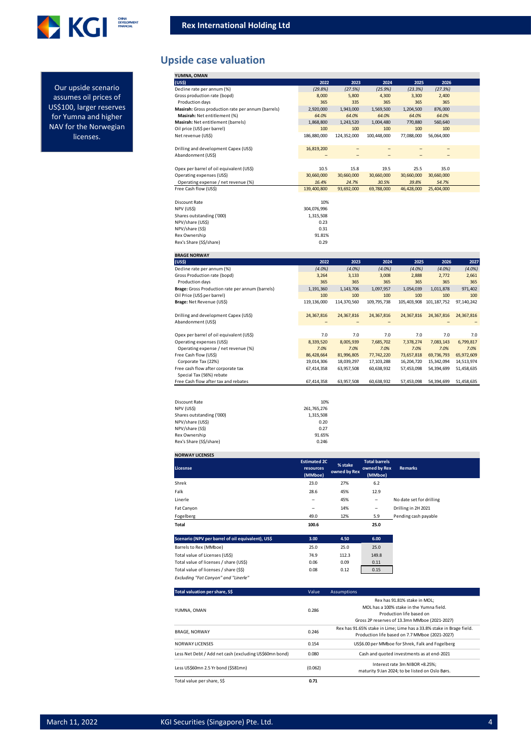

#### Our upside scenario assumes oil prices of US\$100, larger reserves for Yumna and higher NAV for the Norwegian licenses.

## **Upside case valuation**

| YUMNA, OMAN                                        |             |             |             |            |            |       |
|----------------------------------------------------|-------------|-------------|-------------|------------|------------|-------|
| (US <sub>5</sub> )                                 | 2022        | 2023        | 2024        | 2025       | 2026       |       |
| Decline rate per annum (%)                         | (29.8%)     | (27.5%)     | (25.9%)     | (23.3%)    | (27.3%)    |       |
| Gross production rate (bopd)                       | 8,000       | 5,800       | 4,300       | 3,300      | 2,400      |       |
| Production days                                    | 365         | 335         | 365         | 365        | 365        |       |
| Masirah: Gross production rate per annum (barrels) | 2,920,000   | 1,943,000   | 1,569,500   | 1,204,500  | 876,000    |       |
| Masirah: Net entitlement (%)                       | 64.0%       | 64.0%       | 64.0%       | 64.0%      | 64.0%      |       |
| Masirah: Net entitlement (barrels)                 | 1,868,800   | 1,243,520   | 1,004,480   | 770.880    | 560.640    |       |
| Oil price (US\$ per barrel)                        | 100         | 100         | 100         | 100        | 100        |       |
| Net revenue (USS)                                  | 186.880.000 | 124.352.000 | 100.448.000 | 77.088.000 | 56,064,000 |       |
| Drilling and development Capex (US\$)              | 16,819,200  |             |             |            |            |       |
| Abandonment (US\$)                                 |             |             |             |            |            |       |
| Opex per barrel of oil equivalent (US\$)           | 10.5        | 15.8        | 19.5        | 25.5       | 35.0       |       |
| Operating expenses (US\$)                          | 30,660,000  | 30,660,000  | 30,660,000  | 30,660,000 | 30,660,000 |       |
| Operating expense / net revenue (%)                | 16.4%       | 24.7%       | 30.5%       | 39.8%      | 54.7%      |       |
| Free Cash flow (US\$)                              | 139,400,800 | 93,692,000  | 69,788,000  | 46,428,000 | 25,404,000 |       |
| <b>Discount Rate</b>                               | 10%         |             |             |            |            |       |
| NPV (US\$)                                         | 304,076,996 |             |             |            |            |       |
| Shares outstanding ('000)                          | 1,315,508   |             |             |            |            |       |
| NPV/share (US\$)                                   | 0.23        |             |             |            |            |       |
| NPV/share (S\$)                                    | 0.31        |             |             |            |            |       |
| Rex Ownership                                      | 91.81%      |             |             |            |            |       |
| Rex's Share (S\$/share)                            | 0.29        |             |             |            |            |       |
| <b>BRAGE NORWAY</b>                                |             |             |             |            |            |       |
| (US <sub>5</sub> )                                 | 2022        | 2023        | 2024        | 2025       | 2026       | 2027  |
| Decline rate per annum (%)                         | $(4.0\%)$   | $(4.0\%)$   | $(4.0\%)$   | $(4.0\%)$  | $(4.0\%)$  | (4.0% |
| Gross Production rate (bopd)                       | 3,264       | 3,133       | 3,008       | 2,888      | 2,772      | 2,661 |
| Production days                                    | 365         | 365         | 365         | 365        | 365        | 365   |

| oross i rodaction rate (bopa)                    | J, L, T     | ر ب د رب    | J,uuu        | L,uuu       | 2,772         | L, V, L    |
|--------------------------------------------------|-------------|-------------|--------------|-------------|---------------|------------|
| Production days                                  | 365         | 365         | 365          | 365         | 365           | 365        |
| Brage: Gross Production rate per annum (barrels) | 1,191,360   | 1,143,706   | 1,097,957    | 1,054,039   | 1,011,878     | 971,402    |
| Oil Price (US\$ per barrel)                      | 100         | 100         | 100          | 100         | 100           | 100        |
| Brage: Net Revenue (US\$)                        | 119,136,000 | 114,370,560 | 109,795,738  | 105,403,908 | 101, 187, 752 | 97,140,242 |
| Drilling and development Capex (US\$)            | 24,367,816  | 24,367,816  | 24,367,816   | 24.367.816  | 24.367.816    | 24,367,816 |
| Abandonment (US\$)                               |             |             |              |             |               |            |
|                                                  |             |             |              |             |               |            |
| Opex per barrel of oil equivalent (US\$)         | 7.0         | 7.0         | 7.0          | 7.0         | 7.0           | 7.0        |
| Operating expenses (US\$)                        | 8,339,520   | 8,005,939   | 7,685,702    | 7,378,274   | 7,083,143     | 6,799,817  |
| Operating expense / net revenue (%)              | 7.0%        | 7.0%        | 7.0%         | 7.0%        | 7.0%          | 7.0%       |
| Free Cash flow (US\$)                            | 86,428,664  | 81,996,805  | 77,742,220   | 73,657,818  | 69,736,793    | 65,972,609 |
| Corporate Tax (22%)                              | 19,014,306  | 18,039,297  | 17, 103, 288 | 16,204,720  | 15,342,094    | 14,513,974 |
| Free cash flow after corporate tax               | 67,414,358  | 63,957,508  | 60,638,932   | 57,453,098  | 54,394,699    | 51,458,635 |
| Special Tax (56%) rebate                         |             |             |              |             |               |            |
| Free Cash flow after tax and rebates             | 67,414,358  | 63,957,508  | 60,638,932   | 57,453,098  | 54,394,699    | 51,458,635 |
|                                                  |             |             |              |             |               |            |
|                                                  |             |             |              |             |               |            |

| Discount Rate             | 10%         |
|---------------------------|-------------|
| NPV (USS)                 | 261.765.276 |
| Shares outstanding ('000) | 1.315.508   |
| NPV/share (US\$)          | 0.20        |
| NPV/share (SS)            | 0.27        |
| Rex Ownership             | 91.65%      |
| Rex's Share (S\$/share)   | 0.246       |

### **NORWAY LICENSES**

| Licesnse                                          | <b>Estimated 2C</b><br>resources<br>(MMboe) | % stake<br>owned by Rex | <b>Total barrels</b><br>owned by Rex<br>(MMboe) | <b>Remarks</b>           |
|---------------------------------------------------|---------------------------------------------|-------------------------|-------------------------------------------------|--------------------------|
| Shrek                                             | 23.0                                        | 27%                     | 6.2                                             |                          |
| Falk                                              | 28.6                                        | 45%                     | 12.9                                            |                          |
| Linerle                                           | -                                           | 45%                     | -                                               | No date set for drilling |
| Fat Canyon                                        | -                                           | 14%                     | -                                               | Drilling in 2H 2021      |
| Fogelberg                                         | 49.0                                        | 12%                     | 5.9                                             | Pending cash payable     |
| Total                                             | 100.6                                       |                         | 25.0                                            |                          |
| Scenario (NPV per barrel of oil equivalent), US\$ | 3.00                                        | 4.50                    | 6.00                                            |                          |
| Barrels to Rex (MMboe)                            | 25.0                                        | 25.0                    | 25.0                                            |                          |
| Total value of Licenses (US\$)                    | 74.9                                        | 112.3                   | 149.8                                           |                          |
| Total value of licenses / share (US\$)            | 0.06                                        | 0.09                    | 0.11                                            |                          |
| Total value of licenses / share (\$\$)            | 0.08                                        | 0.12                    | 0.15                                            |                          |
| Excluding "Fat Canyon" and "Linerle"              |                                             |                         |                                                 |                          |

| Total valuation per share, S\$                         | Value   | <b>Assumptions</b>                                                   |
|--------------------------------------------------------|---------|----------------------------------------------------------------------|
|                                                        |         | Rex has 91.81% stake in MOL:                                         |
| YUMNA, OMAN                                            | 0.286   | MOL has a 100% stake in the Yumna field.                             |
|                                                        |         | Production life based on                                             |
|                                                        |         | Gross 2P reserves of 13.3mn MMboe (2021-2027)                        |
|                                                        |         | Rex has 91.65% stake in Lime; Lime has a 33.8% stake in Brage field. |
| <b>BRAGE, NORWAY</b>                                   | 0.246   | Production life based on 7.7 MMboe (2021-2027)                       |
| NORWAY LICENSES                                        | 0.154   | US\$6.00 per MMboe for Shrek, Falk and Fogelberg                     |
| Less Net Debt / Add net cash (excluding US\$60mn bond) | 0.080   | Cash and quoted investments as at end-2021                           |
|                                                        |         | Interest rate 3m NIBOR +8.25%:                                       |
| Less US\$60mn 2.5 Yr bond (\$\$81mn)                   | (0.062) | maturity 9 Jan 2024; to be listed on Oslo Børs.                      |
| Total value per share. SS                              | 0.71    |                                                                      |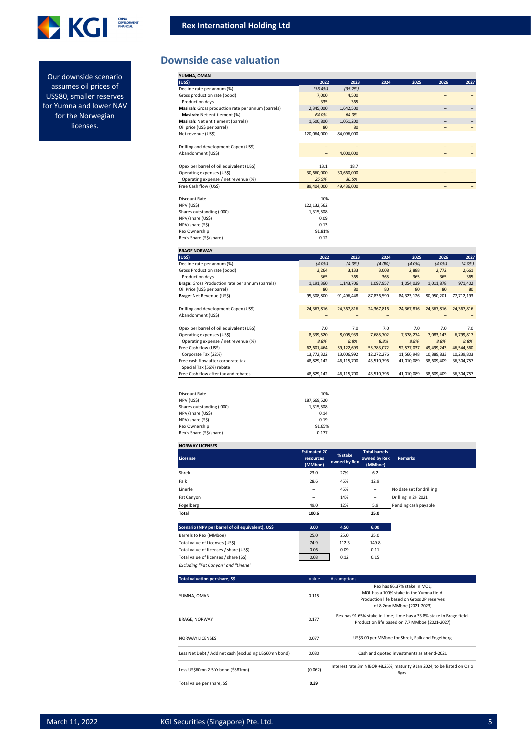

Our downside scenario assumes oil prices of US\$80, smaller reserves for Yumna and lower NAV for the Norwegian licenses.

### **Downside case valuation**

| YUMNA, OMAN                                        |               |            |      |      |      |      |
|----------------------------------------------------|---------------|------------|------|------|------|------|
| (US\$)                                             | 2022          | 2023       | 2024 | 2025 | 2026 | 2027 |
| Decline rate per annum (%)                         | (36.4%)       | (35.7%)    |      |      |      |      |
| Gross production rate (bopd)                       | 7,000         | 4,500      |      |      |      |      |
| Production days                                    | 335           | 365        |      |      |      |      |
| Masirah: Gross production rate per annum (barrels) | 2,345,000     | 1,642,500  |      |      |      | -    |
| Masirah: Net entitlement (%)                       | 64.0%         | 64.0%      |      |      |      |      |
| Masirah: Net entitlement (barrels)                 | 1,500,800     | 1,051,200  |      |      |      |      |
| Oil price (US\$ per barrel)                        | 80            | 80         |      |      |      |      |
| Net revenue (US\$)                                 | 120,064,000   | 84,096,000 |      |      |      |      |
|                                                    |               |            |      |      |      |      |
| Drilling and development Capex (US\$)              |               |            |      |      |      |      |
| Abandonment (US\$)                                 |               | 4,000,000  |      |      |      |      |
|                                                    |               |            |      |      |      |      |
| Opex per barrel of oil equivalent (US\$)           | 13.1          | 18.7       |      |      |      |      |
| Operating expenses (US\$)                          | 30,660,000    | 30,660,000 |      |      |      |      |
| Operating expense / net revenue (%)                | 25.5%         | 36.5%      |      |      |      |      |
| Free Cash flow (US\$)                              | 89,404,000    | 49,436,000 |      |      |      |      |
|                                                    |               |            |      |      |      |      |
| <b>Discount Rate</b>                               | 10%           |            |      |      |      |      |
| NPV (US\$)                                         | 122, 132, 562 |            |      |      |      |      |
| Shares outstanding ('000)                          | 1,315,508     |            |      |      |      |      |
| NPV/share (US\$)                                   | 0.09          |            |      |      |      |      |
| NPV/share (S\$)                                    | 0.13          |            |      |      |      |      |
| Rex Ownership                                      | 91.81%        |            |      |      |      |      |
| Rex's Share (S\$/share)                            | 0.12          |            |      |      |      |      |
|                                                    |               |            |      |      |      |      |

| <b>BRAGE NORWAY</b>                              |             |            |            |            |            |              |
|--------------------------------------------------|-------------|------------|------------|------------|------------|--------------|
| (US\$)                                           | 2022        | 2023       | 2024       | 2025       | 2026       | 2027         |
| Decline rate per annum (%)                       | $(4.0\%)$   | $(4.0\%)$  | $(4.0\%)$  | $(4.0\%)$  | $(4.0\%)$  | $(4.0\%)$    |
| Gross Production rate (bopd)                     | 3,264       | 3,133      | 3,008      | 2,888      | 2.772      | 2,661        |
| <b>Production days</b>                           | 365         | 365        | 365        | 365        | 365        | 365          |
| Brage: Gross Production rate per annum (barrels) | 1,191,360   | 1,143,706  | 1,097,957  | 1,054,039  | 1,011,878  | 971,402      |
| Oil Price (US\$ per barrel)                      | 80          | 80         | 80         | 80         | 80         | 80           |
| Brage: Net Revenue (US\$)                        | 95.308.800  | 91,496,448 | 87.836.590 | 84,323,126 | 80.950.201 | 77,712,193   |
| Drilling and development Capex (US\$)            | 24,367,816  | 24,367,816 | 24,367,816 | 24,367,816 | 24,367,816 | 24,367,816   |
| Abandonment (US\$)                               |             |            |            |            |            |              |
| Opex per barrel of oil equivalent (US\$)         | 7.0         | 7.0        | 7.0        | 7.0        | 7.0        | 7.0          |
| Operating expenses (US\$)                        | 8,339,520   | 8,005,939  | 7,685,702  | 7.378.274  | 7,083,143  | 6,799,817    |
| Operating expense / net revenue (%)              | 8.8%        | 8.8%       | 8.8%       | 8.8%       | 8.8%       | 8.8%         |
| Free Cash flow (US\$)                            | 62.601.464  | 59,122,693 | 55,783,072 | 52,577,037 | 49,499,243 | 46,544,560   |
| Corporate Tax (22%)                              | 13.772.322  | 13,006,992 | 12,272,276 | 11.566.948 | 10.889.833 | 10,239,803   |
| Free cash flow after corporate tax               | 48,829,142  | 46,115,700 | 43,510,796 | 41,010,089 | 38,609,409 | 36, 304, 757 |
| Special Tax (56%) rebate                         |             |            |            |            |            |              |
| Free Cash flow after tax and rebates             | 48,829,142  | 46,115,700 | 43,510,796 | 41,010,089 | 38,609,409 | 36,304,757   |
|                                                  |             |            |            |            |            |              |
| Discount Rate                                    | 10%         |            |            |            |            |              |
| NPV (US\$)                                       | 187,669,520 |            |            |            |            |              |
| Shares outstanding ('000)                        | 1.315.508   |            |            |            |            |              |

| NPV (US\$)                | 187.669.520 |
|---------------------------|-------------|
| Shares outstanding ('000) | 1.315.508   |
| NPV/share (US\$)          | 0.14        |
| NPV/share (S\$)           | 0.19        |
| Rex Ownership             | 91.65%      |
| Rex's Share (S\$/share)   | 0.177       |
|                           |             |
| <b>NORWAY LICENSES</b>    |             |

| Licesnse                                          | <b>Estimated 2C</b><br>resources<br>(MMboe) | % stake<br>owned by Rex | <b>Total barrels</b><br>owned by Rex<br>(MMboe) | <b>Remarks</b>           |  |
|---------------------------------------------------|---------------------------------------------|-------------------------|-------------------------------------------------|--------------------------|--|
| Shrek                                             | 23.0                                        | 27%                     | 6.2                                             |                          |  |
| Falk                                              | 28.6                                        | 45%                     | 12.9                                            |                          |  |
| Linerle                                           | -                                           | 45%                     | -                                               | No date set for drilling |  |
| Fat Canyon                                        | $\overline{\phantom{0}}$                    | 14%                     | $\overline{\phantom{0}}$                        | Drilling in 2H 2021      |  |
| Fogelberg                                         | 49.0                                        | 12%                     | 5.9                                             | Pending cash payable     |  |
| Total                                             | 100.6                                       |                         | 25.0                                            |                          |  |
| Scenario (NPV per barrel of oil equivalent), US\$ | 3.00                                        | 4.50                    | 6.00                                            |                          |  |
| Barrels to Rex (MMboe)                            | 25.0                                        | 25.0                    | 25.0                                            |                          |  |
| Total value of Licenses (US\$)                    | 74.9                                        | 112.3                   | 149.8                                           |                          |  |
| Total value of licenses / share (US\$)            | 0.06                                        | 0.09                    | 0.11                                            |                          |  |
| Total value of licenses / share (\$\$)            | 0.08                                        | 0.12                    | 0.15                                            |                          |  |
| Excluding "Fat Canyon" and "Linerle"              |                                             |                         |                                                 |                          |  |

| Total valuation per share, S\$                         | Value   | <b>Assumptions</b>                                                                |
|--------------------------------------------------------|---------|-----------------------------------------------------------------------------------|
|                                                        |         | Rex has 86.37% stake in MOL;                                                      |
| YUMNA, OMAN                                            | 0.115   | MOL has a 100% stake in the Yumna field.                                          |
|                                                        |         | Production life based on Gross 2P reserves                                        |
|                                                        |         | of 8.2mn MMboe (2021-2023)                                                        |
|                                                        |         | Rex has 91.65% stake in Lime; Lime has a 33.8% stake in Brage field.              |
| <b>BRAGE, NORWAY</b>                                   | 0.177   | Production life based on 7.7 MMboe (2021-2027)                                    |
| <b>NORWAY LICENSES</b>                                 | 0.077   | US\$3.00 per MMboe for Shrek, Falk and Fogelberg                                  |
| Less Net Debt / Add net cash (excluding US\$60mn bond) | 0.080   | Cash and quoted investments as at end-2021                                        |
| Less US\$60mn 2.5 Yr bond (\$S81mn)                    | (0.062) | Interest rate 3m NIBOR +8.25%; maturity 9 Jan 2024; to be listed on Oslo<br>Børs. |
| Total value per share, S\$                             | 0.39    |                                                                                   |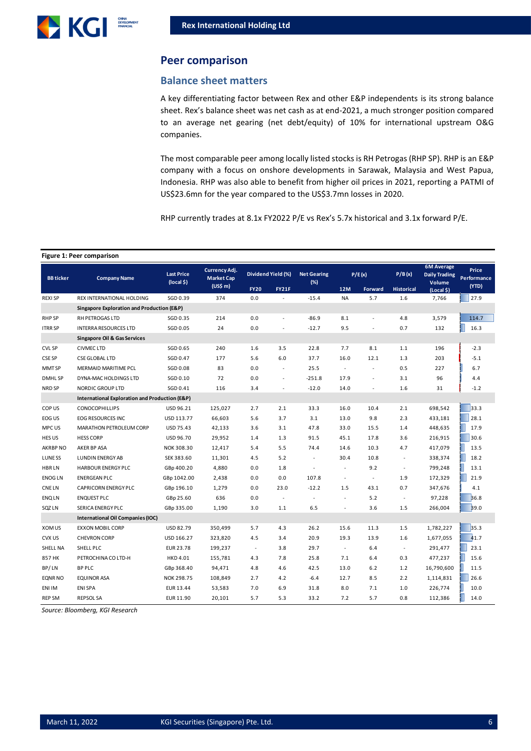

### **Peer comparison**

### **Balance sheet matters**

A key differentiating factor between Rex and other E&P independents is its strong balance sheet. Rex's balance sheet was net cash as at end-2021, a much stronger position compared to an average net gearing (net debt/equity) of 10% for international upstream O&G companies.

The most comparable peer among locally listed stocks is RH Petrogas (RHP SP). RHP is an E&P company with a focus on onshore developments in Sarawak, Malaysia and West Papua, Indonesia. RHP was also able to benefit from higher oil prices in 2021, reporting a PATMI of US\$23.6mn for the year compared to the US\$3.7mn losses in 2020.

RHP currently trades at 8.1x FY2022 P/E vs Rex's 5.7x historical and 3.1x forward P/E.

#### **Figure 1: Peer comparison**

| <b>BB</b> ticker                           | <b>Company Name</b>                            | <b>Last Price</b><br>$(local §)$ | Currency Adj.<br><b>Market Cap</b> |             | Dividend Yield (%)       | <b>Net Gearing</b><br>(%) |                          | P/E(x)                   | P/B(x)            | <b>6M</b> Average<br><b>Daily Trading</b><br>Volume | Price<br>Performance |
|--------------------------------------------|------------------------------------------------|----------------------------------|------------------------------------|-------------|--------------------------|---------------------------|--------------------------|--------------------------|-------------------|-----------------------------------------------------|----------------------|
|                                            |                                                |                                  | (US\$m)                            | <b>FY20</b> | <b>FY21F</b>             |                           | <b>12M</b>               | Forward                  | <b>Historical</b> | (Local \$)                                          | (YTD)                |
| <b>REXI SP</b>                             | <b>REX INTERNATIONAL HOLDING</b>               | SGD 0.39                         | 374                                | 0.0         |                          | $-15.4$                   | <b>NA</b>                | 5.7                      | 1.6               | 7,766                                               | 27.9                 |
| Singapore Exploration and Production (E&P) |                                                |                                  |                                    |             |                          |                           |                          |                          |                   |                                                     |                      |
| <b>RHP SP</b>                              | RH PETROGAS LTD                                | SGD 0.35                         | 214                                | 0.0         | L.                       | $-86.9$                   | 8.1                      | L.                       | 4.8               | 3,579                                               | 114.7                |
| <b>ITRR SP</b>                             | <b>INTERRA RESOURCES LTD</b>                   | SGD 0.05                         | 24                                 | 0.0         |                          | $-12.7$                   | 9.5                      | ÷,                       | 0.7               | 132                                                 | 16.3                 |
| <b>Singapore Oil &amp; Gas Services</b>    |                                                |                                  |                                    |             |                          |                           |                          |                          |                   |                                                     |                      |
| <b>CVL SP</b>                              | <b>CIVMEC LTD</b>                              | SGD 0.65                         | 240                                | 1.6         | 3.5                      | 22.8                      | 7.7                      | 8.1                      | 1.1               | 196                                                 | $-2.3$               |
| <b>CSE SP</b>                              | <b>CSE GLOBAL LTD</b>                          | SGD 0.47                         | 177                                | 5.6         | 6.0                      | 37.7                      | 16.0                     | 12.1                     | 1.3               | 203                                                 | $-5.1$               |
| MMT SP                                     | MERMAID MARITIME PCL                           | SGD 0.08                         | 83                                 | 0.0         | $\sim$                   | 25.5                      | $\blacksquare$           | $\omega$                 | 0.5               | 227                                                 | 6.7                  |
| <b>DMHL SP</b>                             | DYNA-MAC HOLDINGS LTD                          | SGD 0.10                         | 72                                 | 0.0         | ٠                        | $-251.8$                  | 17.9                     | $\overline{\phantom{a}}$ | 3.1               | 96                                                  | 4.4                  |
| NRD SP                                     | NORDIC GROUP LTD                               | SGD 0.41                         | 116                                | 3.4         | $\overline{\phantom{a}}$ | $-12.0$                   | 14.0                     | $\overline{\phantom{a}}$ | 1.6               | 31                                                  | $-1.2$               |
|                                            | International Exploration and Production (E&P) |                                  |                                    |             |                          |                           |                          |                          |                   |                                                     |                      |
| COP US                                     | <b>CONOCOPHILLIPS</b>                          | USD 96.21                        | 125,027                            | 2.7         | 2.1                      | 33.3                      | 16.0                     | 10.4                     | 2.1               | 698,542                                             | 33.3                 |
| EOG US                                     | <b>EOG RESOURCES INC</b>                       | USD 113.77                       | 66,603                             | 5.6         | 3.7                      | 3.1                       | 13.0                     | 9.8                      | 2.3               | 433,181                                             | 28.1                 |
| MPC US                                     | MARATHON PETROLEUM CORP                        | USD 75.43                        | 42,133                             | 3.6         | 3.1                      | 47.8                      | 33.0                     | 15.5                     | 1.4               | 448,635                                             | 17.9                 |
| HES US                                     | <b>HESS CORP</b>                               | USD 96.70                        | 29,952                             | 1.4         | 1.3                      | 91.5                      | 45.1                     | 17.8                     | 3.6               | 216,915                                             | 30.6                 |
| AKRBP NO                                   | AKER BP ASA                                    | NOK 308.30                       | 12,417                             | 5.4         | 5.5                      | 74.4                      | 14.6                     | 10.3                     | 4.7               | 417,079                                             | 13.5                 |
| LUNE SS                                    | <b>LUNDIN ENERGY AB</b>                        | SEK 383.60                       | 11,301                             | 4.5         | 5.2                      | ÷                         | 30.4                     | 10.8                     |                   | 338,374                                             | 18.2                 |
| <b>HBRLN</b>                               | <b>HARBOUR ENERGY PLC</b>                      | GBp 400.20                       | 4,880                              | 0.0         | 1.8                      | ÷,                        |                          | 9.2                      |                   | 799,248                                             | 13.1                 |
| <b>ENOG LN</b>                             | <b>ENERGEAN PLC</b>                            | GBp 1042.00                      | 2,438                              | 0.0         | 0.0                      | 107.8                     |                          | $\sim$                   | 1.9               | 172,329                                             | 21.9                 |
| <b>CNELN</b>                               | <b>CAPRICORN ENERGY PLC</b>                    | GBp 196.10                       | 1,279                              | 0.0         | 23.0                     | $-12.2$                   | 1.5                      | 43.1                     | 0.7               | 347,676                                             | 4.1                  |
| <b>ENQLN</b>                               | <b>ENQUEST PLC</b>                             | GBp 25.60                        | 636                                | 0.0         | $\overline{\phantom{a}}$ | ÷,                        | $\sim$                   | 5.2                      | $\sim$            | 97,228                                              | 36.8                 |
| SQZ LN                                     | <b>SERICA ENERGY PLC</b>                       | GBp 335.00                       | 1,190                              | 3.0         | 1.1                      | 6.5                       |                          | 3.6                      | 1.5               | 266,004                                             | 39.0                 |
|                                            | International Oil Companies (IOC)              |                                  |                                    |             |                          |                           |                          |                          |                   |                                                     |                      |
| XOM US                                     | <b>EXXON MOBIL CORP</b>                        | USD 82.79                        | 350,499                            | 5.7         | 4.3                      | 26.2                      | 15.6                     | 11.3                     | 1.5               | 1,782,227                                           | 35.3                 |
| CVX US                                     | <b>CHEVRON CORP</b>                            | USD 166.27                       | 323,820                            | 4.5         | 3.4                      | 20.9                      | 19.3                     | 13.9                     | 1.6               | 1,677,055                                           | 41.7                 |
| SHELL NA                                   | SHELL PLC                                      | EUR 23.78                        | 199,237                            | $\sim$      | 3.8                      | 29.7                      | $\overline{\phantom{a}}$ | 6.4                      |                   | 291,477                                             | 23.1                 |
| 857 HK                                     | PETROCHINA CO LTD-H                            | HKD 4.01                         | 155,781                            | 4.3         | 7.8                      | 25.8                      | 7.1                      | 6.4                      | 0.3               | 477,237                                             | 15.6                 |
| BP/LN                                      | <b>BP PLC</b>                                  | GBp 368.40                       | 94,471                             | 4.8         | 4.6                      | 42.5                      | 13.0                     | $6.2$                    | 1.2               | 16,790,600                                          | 11.5                 |
| <b>EQNR NO</b>                             | <b>EQUINOR ASA</b>                             | NOK 298.75                       | 108,849                            | 2.7         | 4.2                      | $-6.4$                    | 12.7                     | 8.5                      | 2.2               | 1,114,831                                           | 26.6                 |
| ENI IM                                     | <b>ENI SPA</b>                                 | EUR 13.44                        | 53,583                             | 7.0         | 6.9                      | 31.8                      | 8.0                      | 7.1                      | 1.0               | 226,774                                             | 10.0                 |
| <b>REP SM</b>                              | <b>REPSOL SA</b>                               | EUR 11.90                        | 20,101                             | 5.7         | 5.3                      | 33.2                      | 7.2                      | 5.7                      | 0.8               | 112,386                                             | 14.0                 |

*Source: Bloomberg, KGI Research*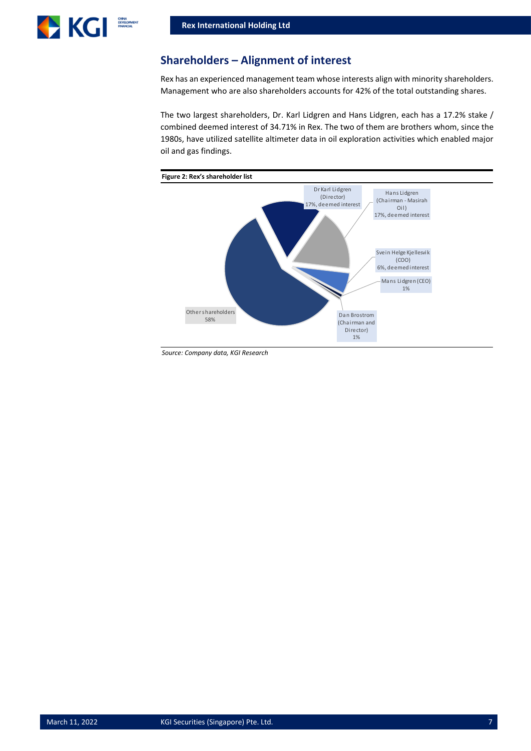

### **Shareholders – Alignment of interest**

Rex has an experienced management team whose interests align with minority shareholders. Management who are also shareholders accounts for 42% of the total outstanding shares.

The two largest shareholders, Dr. Karl Lidgren and Hans Lidgren, each has a 17.2% stake / combined deemed interest of 34.71% in Rex. The two of them are brothers whom, since the 1980s, have utilized satellite altimeter data in oil exploration activities which enabled major oil and gas findings.



*Source: Company data, KGI Research*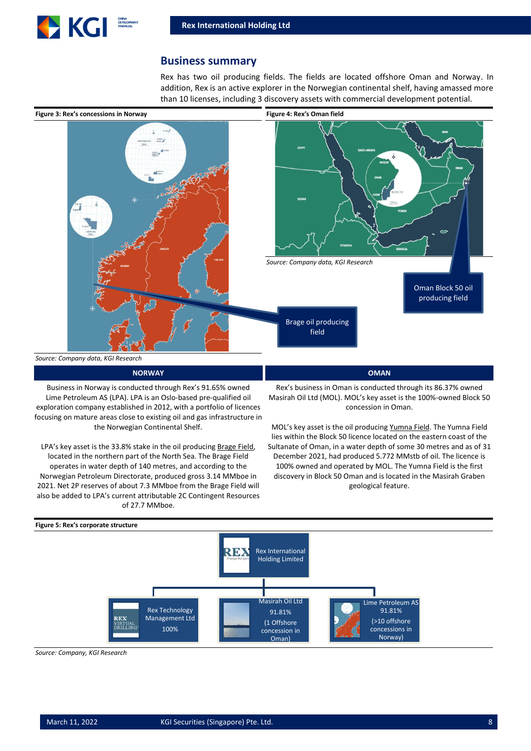

### **Business summary**

Rex has two oil producing fields. The fields are located offshore Oman and Norway. In addition, Rex is an active explorer in the Norwegian continental shelf, having amassed more than 10 licenses, including 3 discovery assets with commercial development potential.



**NORWAY OMAN**

Business in Norway is conducted through Rex's 91.65% owned Lime Petroleum AS (LPA). LPA is an Oslo-based pre-qualified oil exploration company established in 2012, with a portfolio of licences focusing on mature areas close to existing oil and gas infrastructure in the Norwegian Continental Shelf.

LPA's key asset is the 33.8% stake in the oil producing Brage Field, located in the northern part of the North Sea. The Brage Field operates in water depth of 140 metres, and according to the Norwegian Petroleum Directorate, produced gross 3.14 MMboe in 2021. Net 2P reserves of about 7.3 MMboe from the Brage Field will also be added to LPA's current attributable 2C Contingent Resources of 27.7 MMboe.

Rex's business in Oman is conducted through its 86.37% owned Masirah Oil Ltd (MOL). MOL's key asset is the 100%-owned Block 50 concession in Oman.

MOL's key asset is the oil producing Yumna Field. The Yumna Field lies within the Block 50 licence located on the eastern coast of the Sultanate of Oman, in a water depth of some 30 metres and as of 31 December 2021, had produced 5.772 MMstb of oil. The licence is 100% owned and operated by MOL. The Yumna Field is the first discovery in Block 50 Oman and is located in the Masirah Graben geological feature.



*Source: Company, KGI Research*